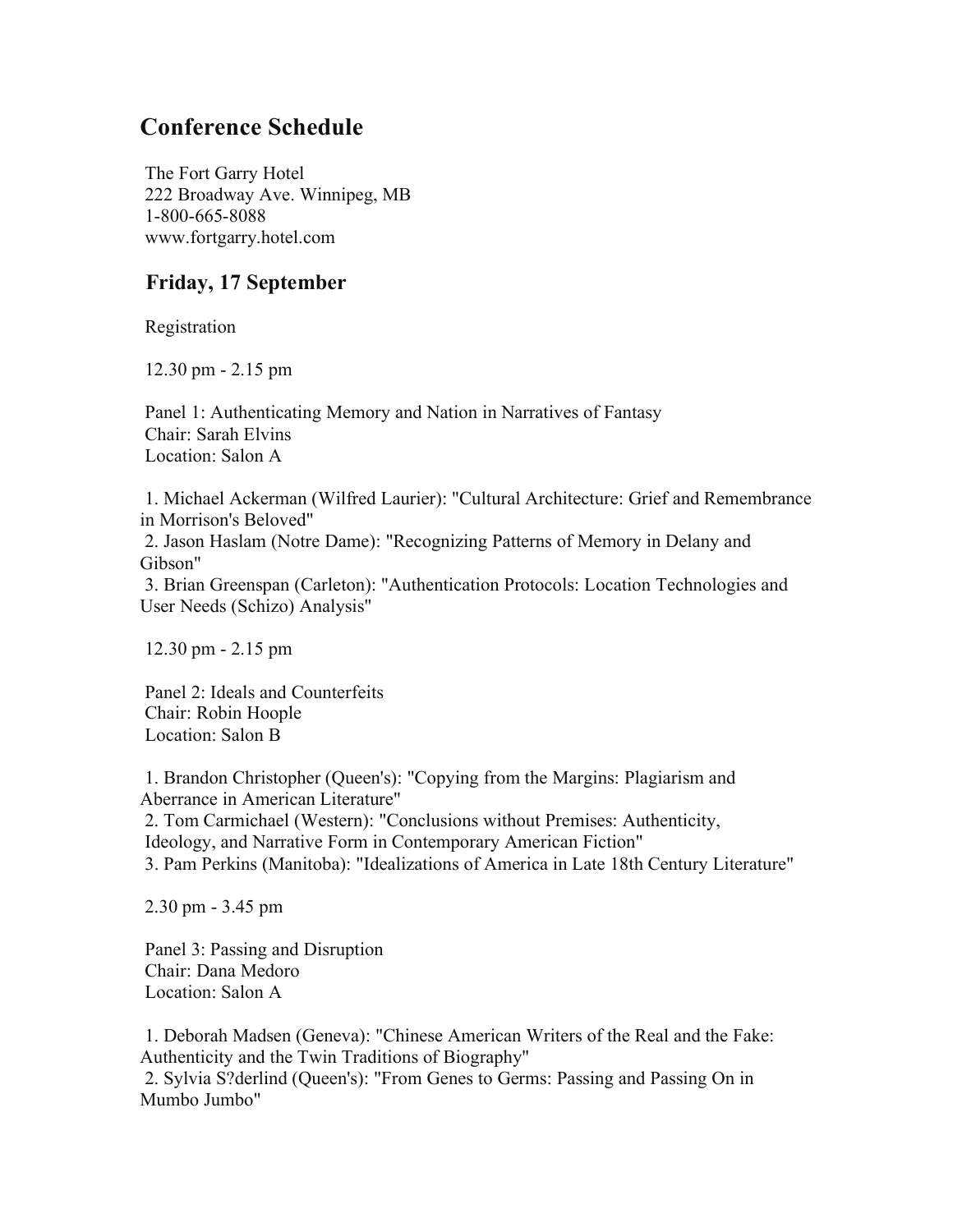## **Conference Schedule**

 The Fort Garry Hotel 222 Broadway Ave. Winnipeg, MB 1-800-665-8088 www.fortgarry.hotel.com

## **Friday, 17 September**

Registration

12.30 pm - 2.15 pm

 Panel 1: Authenticating Memory and Nation in Narratives of Fantasy Chair: Sarah Elvins Location: Salon A

 1. Michael Ackerman (Wilfred Laurier): "Cultural Architecture: Grief and Remembrance in Morrison's Beloved" 2. Jason Haslam (Notre Dame): "Recognizing Patterns of Memory in Delany and Gibson" 3. Brian Greenspan (Carleton): "Authentication Protocols: Location Technologies and User Needs (Schizo) Analysis"

12.30 pm - 2.15 pm

 Panel 2: Ideals and Counterfeits Chair: Robin Hoople Location: Salon B

 1. Brandon Christopher (Queen's): "Copying from the Margins: Plagiarism and Aberrance in American Literature" 2. Tom Carmichael (Western): "Conclusions without Premises: Authenticity, Ideology, and Narrative Form in Contemporary American Fiction" 3. Pam Perkins (Manitoba): "Idealizations of America in Late 18th Century Literature"

2.30 pm - 3.45 pm

 Panel 3: Passing and Disruption Chair: Dana Medoro Location: Salon A

 1. Deborah Madsen (Geneva): "Chinese American Writers of the Real and the Fake: Authenticity and the Twin Traditions of Biography" 2. Sylvia S?derlind (Queen's): "From Genes to Germs: Passing and Passing On in Mumbo Jumbo"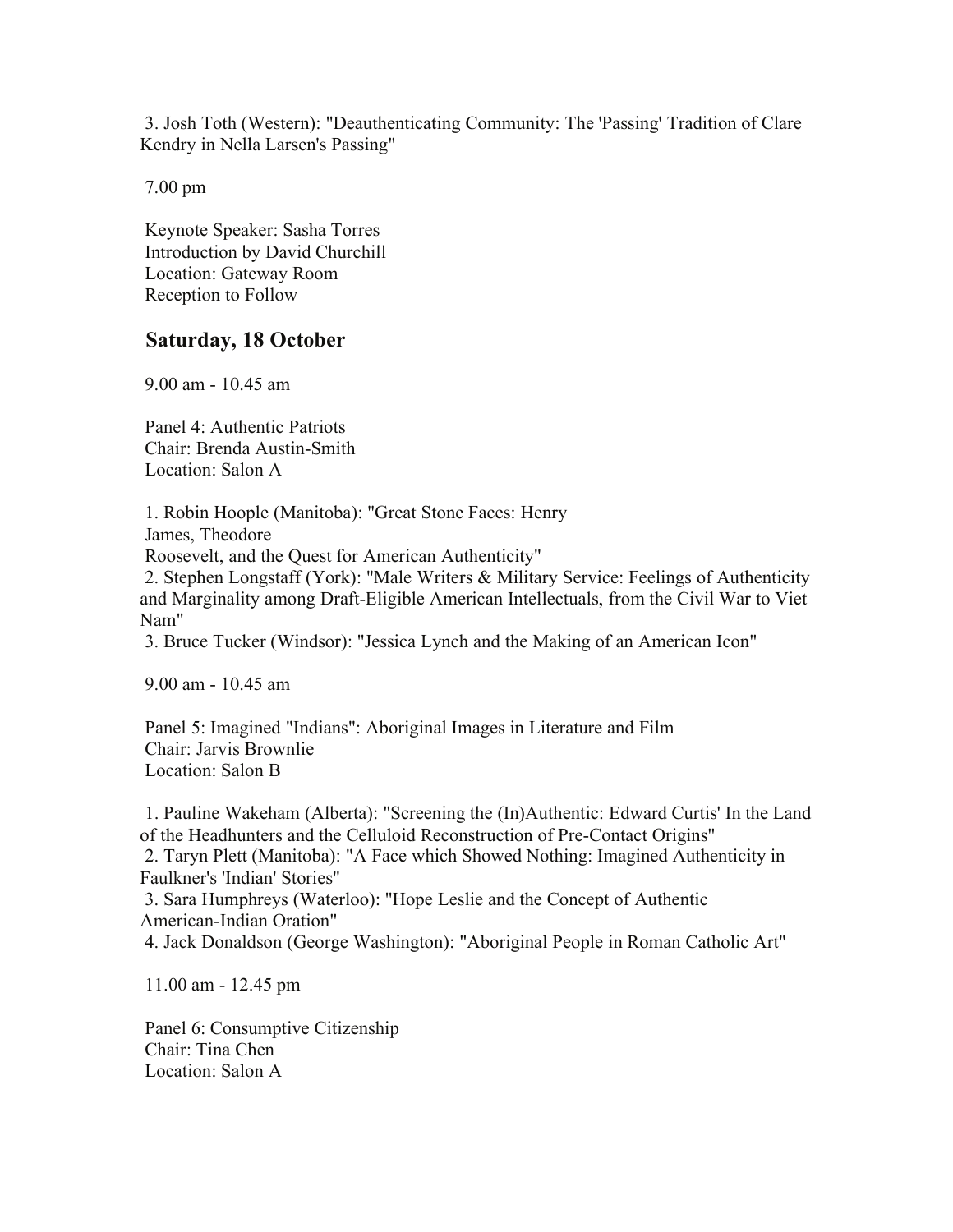3. Josh Toth (Western): "Deauthenticating Community: The 'Passing' Tradition of Clare Kendry in Nella Larsen's Passing"

7.00 pm

 Keynote Speaker: Sasha Torres Introduction by David Churchill Location: Gateway Room Reception to Follow

## **Saturday, 18 October**

9.00 am - 10.45 am

 Panel 4: Authentic Patriots Chair: Brenda Austin-Smith Location: Salon A

 1. Robin Hoople (Manitoba): "Great Stone Faces: Henry James, Theodore

Roosevelt, and the Quest for American Authenticity"

 2. Stephen Longstaff (York): "Male Writers & Military Service: Feelings of Authenticity and Marginality among Draft-Eligible American Intellectuals, from the Civil War to Viet Nam"

3. Bruce Tucker (Windsor): "Jessica Lynch and the Making of an American Icon"

9.00 am - 10.45 am

 Panel 5: Imagined "Indians": Aboriginal Images in Literature and Film Chair: Jarvis Brownlie Location: Salon B

 1. Pauline Wakeham (Alberta): "Screening the (In)Authentic: Edward Curtis' In the Land of the Headhunters and the Celluloid Reconstruction of Pre-Contact Origins" 2. Taryn Plett (Manitoba): "A Face which Showed Nothing: Imagined Authenticity in Faulkner's 'Indian' Stories" 3. Sara Humphreys (Waterloo): "Hope Leslie and the Concept of Authentic American-Indian Oration" 4. Jack Donaldson (George Washington): "Aboriginal People in Roman Catholic Art"

11.00 am - 12.45 pm

 Panel 6: Consumptive Citizenship Chair: Tina Chen Location: Salon A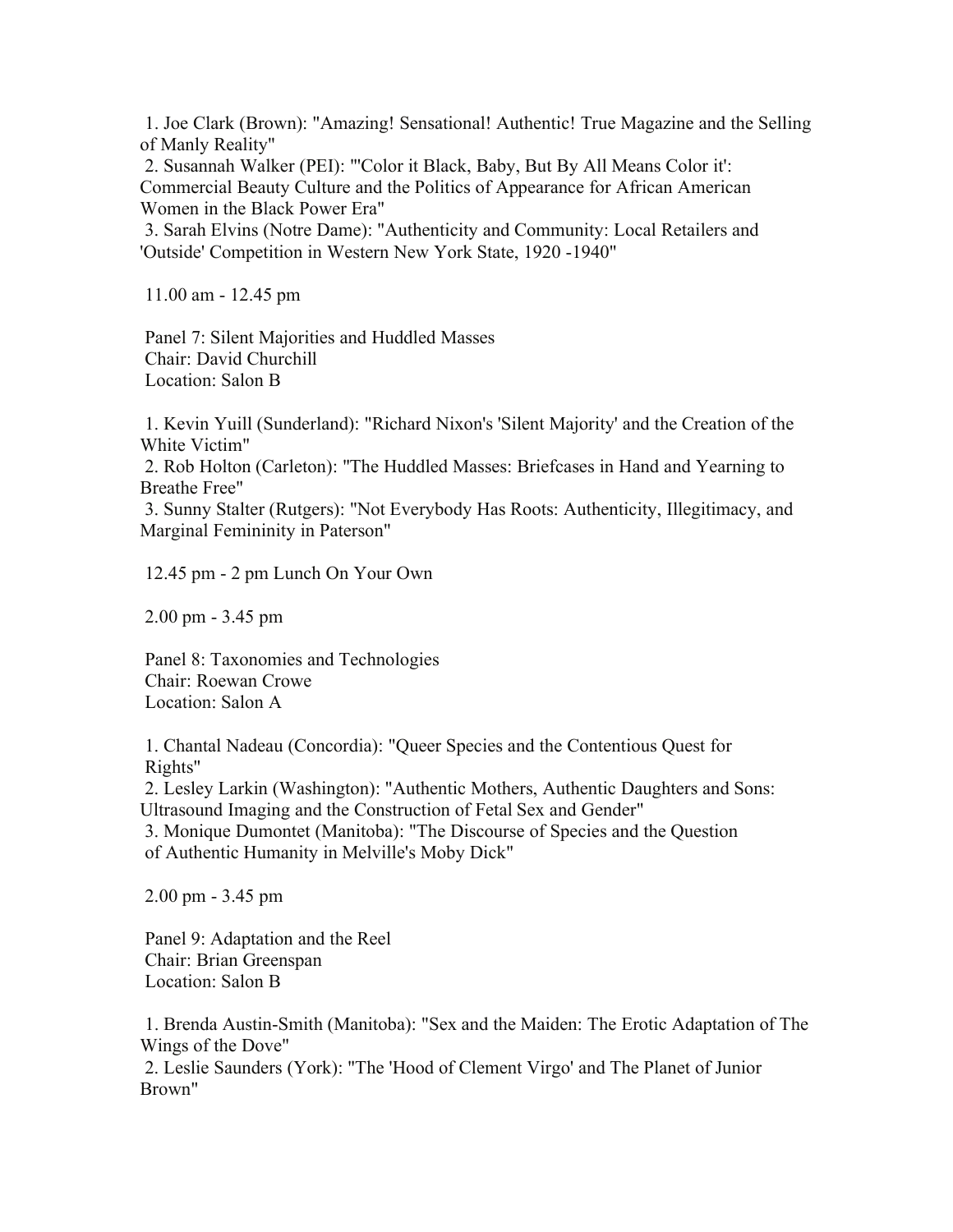1. Joe Clark (Brown): "Amazing! Sensational! Authentic! True Magazine and the Selling of Manly Reality"

 2. Susannah Walker (PEI): "'Color it Black, Baby, But By All Means Color it': Commercial Beauty Culture and the Politics of Appearance for African American Women in the Black Power Era"

 3. Sarah Elvins (Notre Dame): "Authenticity and Community: Local Retailers and 'Outside' Competition in Western New York State, 1920 -1940"

11.00 am - 12.45 pm

 Panel 7: Silent Majorities and Huddled Masses Chair: David Churchill Location: Salon B

 1. Kevin Yuill (Sunderland): "Richard Nixon's 'Silent Majority' and the Creation of the White Victim"

 2. Rob Holton (Carleton): "The Huddled Masses: Briefcases in Hand and Yearning to Breathe Free"

 3. Sunny Stalter (Rutgers): "Not Everybody Has Roots: Authenticity, Illegitimacy, and Marginal Femininity in Paterson"

12.45 pm - 2 pm Lunch On Your Own

2.00 pm - 3.45 pm

 Panel 8: Taxonomies and Technologies Chair: Roewan Crowe Location: Salon A

 1. Chantal Nadeau (Concordia): "Queer Species and the Contentious Quest for Rights"

 2. Lesley Larkin (Washington): "Authentic Mothers, Authentic Daughters and Sons: Ultrasound Imaging and the Construction of Fetal Sex and Gender"

 3. Monique Dumontet (Manitoba): "The Discourse of Species and the Question of Authentic Humanity in Melville's Moby Dick"

2.00 pm - 3.45 pm

 Panel 9: Adaptation and the Reel Chair: Brian Greenspan Location: Salon B

 1. Brenda Austin-Smith (Manitoba): "Sex and the Maiden: The Erotic Adaptation of The Wings of the Dove" 2. Leslie Saunders (York): "The 'Hood of Clement Virgo' and The Planet of Junior Brown"